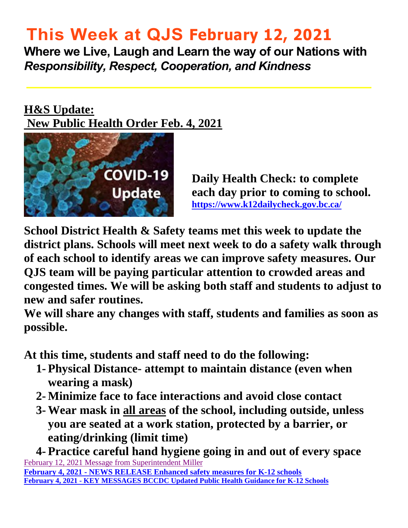# **This Week at QJS February 12, 2021**

**Where we Live, Laugh and Learn the way of our Nations with**  *Responsibility, Respect, Cooperation, and Kindness* 

### **H&S Update: New Public Health Order Feb. 4, 2021**



**Daily Health Check: to complete each day prior to coming to school. <https://www.k12dailycheck.gov.bc.ca/>**

**School District Health & Safety teams met this week to update the district plans. Schools will meet next week to do a safety walk through of each school to identify areas we can improve safety measures. Our QJS team will be paying particular attention to crowded areas and congested times. We will be asking both staff and students to adjust to new and safer routines.** 

**We will share any changes with staff, students and families as soon as possible.** 

**At this time, students and staff need to do the following:** 

- **1- Physical Distance- attempt to maintain distance (even when wearing a mask)**
- **2- Minimize face to face interactions and avoid close contact**
- **3- Wear mask in all areas of the school, including outside, unless you are seated at a work station, protected by a barrier, or eating/drinking (limit time)**

**4- Practice careful hand hygiene going in and out of every space**  February 12, 2021 Message from Superintendent Miller **February 4, 2021 - NEWS RELEASE Enhanced safety measures for K-12 schools [February 4, 2021 - KEY MESSAGES BCCDC Updated Public Health Guidance for K-12 Schools](https://www2.gov.bc.ca/assets/gov/education/administration/kindergarten-to-grade-12/safe-caring-orderly/k-12-covid-19-health-safety-guidlines.pdf)**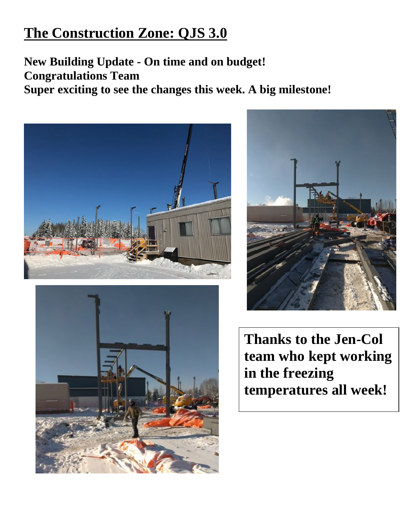### **The Construction Zone: QJS 3.0**

**New Building Update - On time and on budget! Congratulations Team Super exciting to see the changes this week. A big milestone!** 







**Thanks to the Jen-Col team who kept working in the freezing temperatures all week!**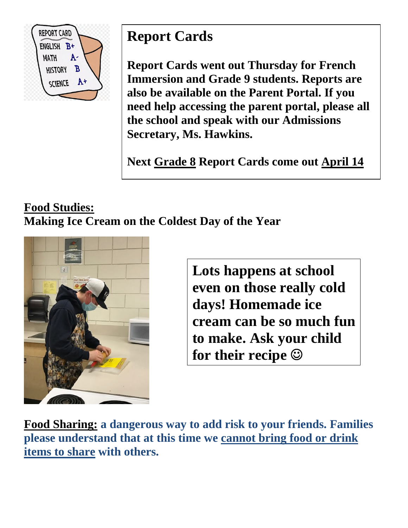

## **Report Cards**

**Report Cards went out Thursday for French Immersion and Grade 9 students. Reports are also be available on the Parent Portal. If you need help accessing the parent portal, please all the school and speak with our Admissions Secretary, Ms. Hawkins.** 

**Next Grade 8 Report Cards come out April 14** 

### **Food Studies: Making Ice Cream on the Coldest Day of the Year**



**Lots happens at school even on those really cold days! Homemade ice cream can be so much fun to make. Ask your child for their recipe** 

**Food Sharing: a dangerous way to add risk to your friends. Families please understand that at this time we cannot bring food or drink items to share with others.**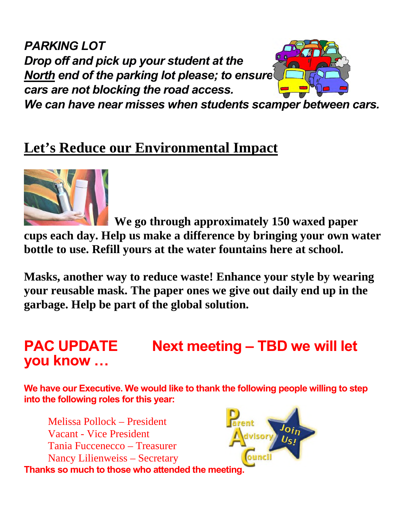*PARKING LOT Drop off and pick up your student at the North end of the parking lot please; to ensure cars are not blocking the road access.* 

*We can have near misses when students scamper between cars.* 

### **Let's Reduce our Environmental Impact**



 **We go through approximately 150 waxed paper cups each day. Help us make a difference by bringing your own water bottle to use. Refill yours at the water fountains here at school.** 

**Masks, another way to reduce waste! Enhance your style by wearing your reusable mask. The paper ones we give out daily end up in the garbage. Help be part of the global solution.** 

### **PAC UPDATE** Next meeting - TBD we will let **you know …**

**We have our Executive. We would like to thank the following people willing to step into the following roles for this year:** 

Melissa Pollock – President Vacant - Vice President Tania Fuccenecco – Treasurer Nancy Lilienweiss – Secretary **Thanks so much to those who attended the meeting.** 

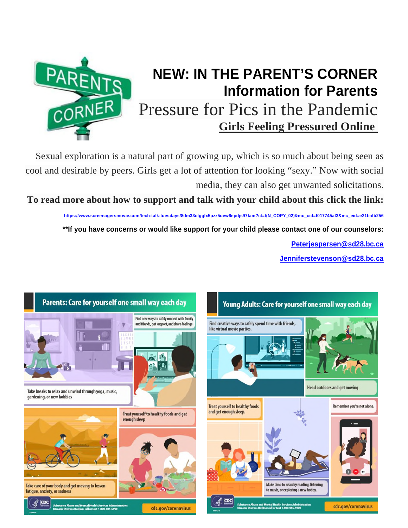

### **NEW: IN THE PARENT'S CORNER Information for Parents**  Pressure for Pics in the Pandemic **Girls Feeling Pressured Online**

Sexual exploration is a natural part of growing up, which is so much about being seen as cool and desirable by peers. Girls get a lot of attention for looking "sexy." Now with social media, they can also get unwanted solicitations.

**To read more about how to support and talk with your child about this click the link:**

**[https://www.screenagersmovie.com/tech-talk-tuesdays/8dm33cfgglx5pzz5uew6epdjs97fam?ct=t\(N\\_COPY\\_02\)&mc\\_cid=f017745af3&mc\\_eid=e21bafb256](https://www.screenagersmovie.com/tech-talk-tuesdays/8dm33cfgglx5pzz5uew6epdjs97fam?ct=t(N_COPY_02)&mc_cid=f017745af3&mc_eid=e21bafb256) \*\*If you have concerns or would like support for your child please contact one of our counselors: [Peterjespersen@sd28.bc.ca](mailto:Peterjespersen@sd28.bc.ca)**

**[Jenniferstevenson@sd28.bc.ca](mailto:Jenniferstevenson@sd28.bc.ca)**

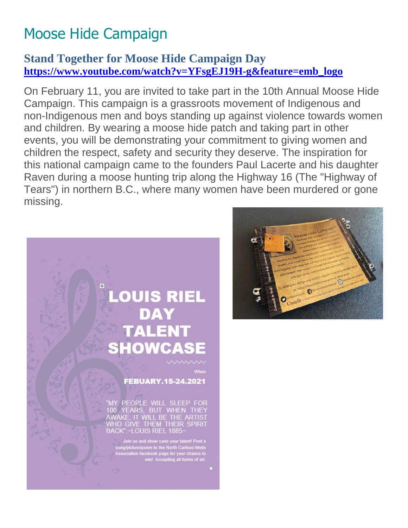# Moose Hide Campaign

#### **Stand Together for Moose Hide Campaign Day [https://www.youtube.com/watch?v=YFsgEJ19H-g&feature=emb\\_logo](https://www.youtube.com/watch?v=YFsgEJ19H-g&feature=emb_logo)**

On February 11, you are invited to take part in the 10th Annual Moose Hide Campaign. This campaign is a grassroots movement of Indigenous and non-Indigenous men and boys standing up against violence towards women and children. By wearing a moose hide patch and taking part in other events, you will be demonstrating your commitment to giving women and children the respect, safety and security they deserve. The inspiration for this national campaign came to the founders Paul Lacerte and his daughter Raven during a moose hunting trip along the Highway 16 (The "Highway of Tears") in northern B.C., where many women have been murdered or gone missing.



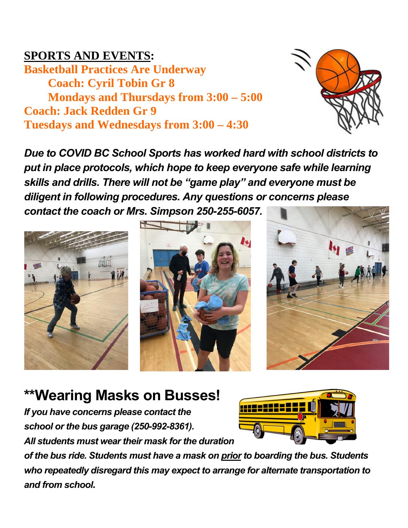### **SPORTS AND EVENTS:**

**Basketball Practices Are Underway Coach: Cyril Tobin Gr 8 Mondays and Thursdays from 3:00 – 5:00 Coach: Jack Redden Gr 9 Tuesdays and Wednesdays from 3:00 – 4:30** 



*Due to COVID BC School Sports has worked hard with school districts to put in place protocols, which hope to keep everyone safe while learning skills and drills. There will not be "game play" and everyone must be diligent in following procedures. Any questions or concerns please contact the coach or Mrs. Simpson 250-255-6057.* 







### **\*\*Wearing Masks on Busses!**

*If you have concerns please contact the school or the bus garage (250-992-8361). All students must wear their mask for the duration* 



*of the bus ride. Students must have a mask on prior to boarding the bus. Students who repeatedly disregard this may expect to arrange for alternate transportation to and from school.*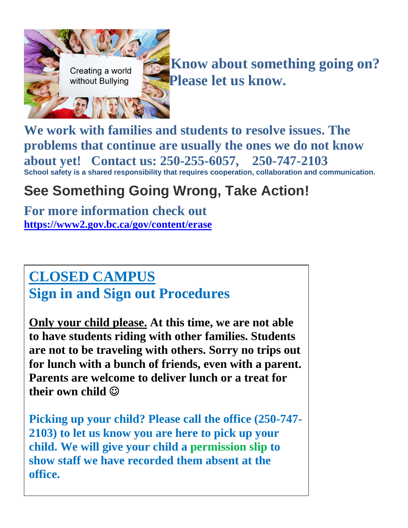

**We work with families and students to resolve issues. The problems that continue are usually the ones we do not know about yet! Contact us: 250-255-6057, 250-747-2103 School safety is a shared responsibility that requires cooperation, collaboration and communication.** 

### **See Something Going Wrong, Take Action!**

**For more information check out <https://www2.gov.bc.ca/gov/content/erase>**

### **CLOSED CAMPUS Sign in and Sign out Procedures**

**Only your child please. At this time, we are not able to have students riding with other families. Students are not to be traveling with others. Sorry no trips out for lunch with a bunch of friends, even with a parent. Parents are welcome to deliver lunch or a treat for their own child** 

**Picking up your child? Please call the office (250-747- 2103) to let us know you are here to pick up your child. We will give your child a permission slip to show staff we have recorded them absent at the office.**